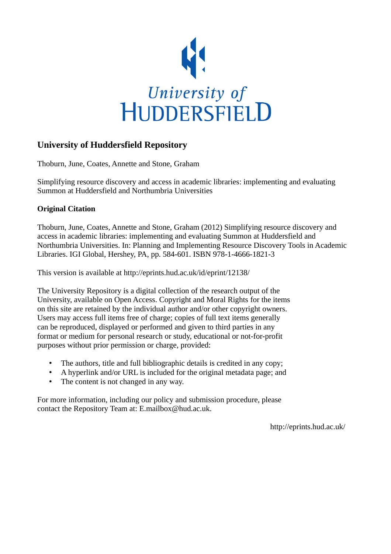

# **University of Huddersfield Repository**

Thoburn, June, Coates, Annette and Stone, Graham

Simplifying resource discovery and access in academic libraries: implementing and evaluating Summon at Huddersfield and Northumbria Universities

## **Original Citation**

Thoburn, June, Coates, Annette and Stone, Graham (2012) Simplifying resource discovery and access in academic libraries: implementing and evaluating Summon at Huddersfield and Northumbria Universities. In: Planning and Implementing Resource Discovery Tools in Academic Libraries. IGI Global, Hershey, PA, pp. 584-601. ISBN 978-1-4666-1821-3

This version is available at http://eprints.hud.ac.uk/id/eprint/12138/

The University Repository is a digital collection of the research output of the University, available on Open Access. Copyright and Moral Rights for the items on this site are retained by the individual author and/or other copyright owners. Users may access full items free of charge; copies of full text items generally can be reproduced, displayed or performed and given to third parties in any format or medium for personal research or study, educational or not-for-profit purposes without prior permission or charge, provided:

- The authors, title and full bibliographic details is credited in any copy;
- A hyperlink and/or URL is included for the original metadata page; and
- The content is not changed in any way.

For more information, including our policy and submission procedure, please contact the Repository Team at: E.mailbox@hud.ac.uk.

http://eprints.hud.ac.uk/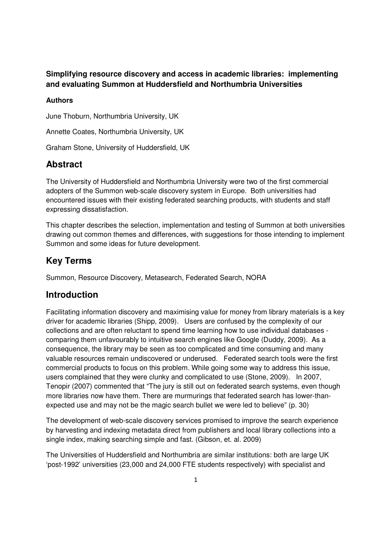## **Simplifying resource discovery and access in academic libraries: implementing and evaluating Summon at Huddersfield and Northumbria Universities**

## **Authors**

June Thoburn, Northumbria University, UK

Annette Coates, Northumbria University, UK

Graham Stone, University of Huddersfield, UK

# **Abstract**

The University of Huddersfield and Northumbria University were two of the first commercial adopters of the Summon web-scale discovery system in Europe. Both universities had encountered issues with their existing federated searching products, with students and staff expressing dissatisfaction.

This chapter describes the selection, implementation and testing of Summon at both universities drawing out common themes and differences, with suggestions for those intending to implement Summon and some ideas for future development.

# **Key Terms**

Summon, Resource Discovery, Metasearch, Federated Search, NORA

## **Introduction**

Facilitating information discovery and maximising value for money from library materials is a key driver for academic libraries (Shipp, 2009). Users are confused by the complexity of our collections and are often reluctant to spend time learning how to use individual databases comparing them unfavourably to intuitive search engines like Google (Duddy, 2009). As a consequence, the library may be seen as too complicated and time consuming and many valuable resources remain undiscovered or underused. Federated search tools were the first commercial products to focus on this problem. While going some way to address this issue, users complained that they were clunky and complicated to use (Stone, 2009). In 2007, Tenopir (2007) commented that "The jury is still out on federated search systems, even though more libraries now have them. There are murmurings that federated search has lower-thanexpected use and may not be the magic search bullet we were led to believe" (p. 30)

The development of web-scale discovery services promised to improve the search experience by harvesting and indexing metadata direct from publishers and local library collections into a single index, making searching simple and fast. (Gibson, et. al. 2009)

The Universities of Huddersfield and Northumbria are similar institutions: both are large UK 'post-1992' universities (23,000 and 24,000 FTE students respectively) with specialist and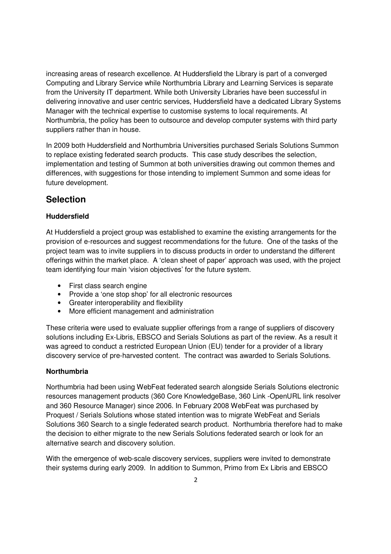increasing areas of research excellence. At Huddersfield the Library is part of a converged Computing and Library Service while Northumbria Library and Learning Services is separate from the University IT department. While both University Libraries have been successful in delivering innovative and user centric services, Huddersfield have a dedicated Library Systems Manager with the technical expertise to customise systems to local requirements. At Northumbria, the policy has been to outsource and develop computer systems with third party suppliers rather than in house.

In 2009 both Huddersfield and Northumbria Universities purchased Serials Solutions Summon to replace existing federated search products. This case study describes the selection, implementation and testing of Summon at both universities drawing out common themes and differences, with suggestions for those intending to implement Summon and some ideas for future development.

# **Selection**

## **Huddersfield**

At Huddersfield a project group was established to examine the existing arrangements for the provision of e-resources and suggest recommendations for the future. One of the tasks of the project team was to invite suppliers in to discuss products in order to understand the different offerings within the market place. A 'clean sheet of paper' approach was used, with the project team identifying four main 'vision objectives' for the future system.

- First class search engine
- Provide a 'one stop shop' for all electronic resources
- Greater interoperability and flexibility
- More efficient management and administration

These criteria were used to evaluate supplier offerings from a range of suppliers of discovery solutions including Ex-Libris, EBSCO and Serials Solutions as part of the review. As a result it was agreed to conduct a restricted European Union (EU) tender for a provider of a library discovery service of pre-harvested content. The contract was awarded to Serials Solutions.

## **Northumbria**

Northumbria had been using WebFeat federated search alongside Serials Solutions electronic resources management products (360 Core KnowledgeBase, 360 Link -OpenURL link resolver and 360 Resource Manager) since 2006. In February 2008 WebFeat was purchased by Proquest / Serials Solutions whose stated intention was to migrate WebFeat and Serials Solutions 360 Search to a single federated search product. Northumbria therefore had to make the decision to either migrate to the new Serials Solutions federated search or look for an alternative search and discovery solution.

With the emergence of web-scale discovery services, suppliers were invited to demonstrate their systems during early 2009. In addition to Summon, Primo from Ex Libris and EBSCO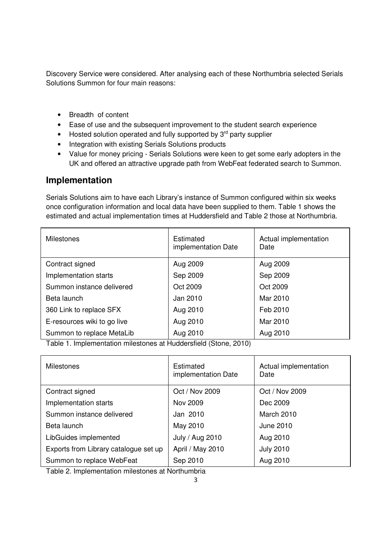Discovery Service were considered. After analysing each of these Northumbria selected Serials Solutions Summon for four main reasons:

- Breadth of content
- Ease of use and the subsequent improvement to the student search experience
- Hosted solution operated and fully supported by  $3<sup>rd</sup>$  party supplier
- Integration with existing Serials Solutions products
- Value for money pricing Serials Solutions were keen to get some early adopters in the UK and offered an attractive upgrade path from WebFeat federated search to Summon.

## **Implementation**

Serials Solutions aim to have each Library's instance of Summon configured within six weeks once configuration information and local data have been supplied to them. Table 1 shows the estimated and actual implementation times at Huddersfield and Table 2 those at Northumbria.

| <b>Milestones</b>           | Estimated<br>implementation Date | Actual implementation<br>Date |
|-----------------------------|----------------------------------|-------------------------------|
| Contract signed             | Aug 2009                         | Aug 2009                      |
| Implementation starts       | Sep 2009                         | Sep 2009                      |
| Summon instance delivered   | Oct 2009                         | Oct 2009                      |
| Beta launch                 | Jan 2010                         | Mar 2010                      |
| 360 Link to replace SFX     | Aug 2010                         | Feb 2010                      |
| E-resources wiki to go live | Aug 2010                         | Mar 2010                      |
| Summon to replace MetaLib   | Aug 2010                         | Aug 2010                      |

Table 1. Implementation milestones at Huddersfield (Stone, 2010)

| <b>Milestones</b>                                | Estimated<br>implementation Date | Actual implementation<br>Date |  |  |
|--------------------------------------------------|----------------------------------|-------------------------------|--|--|
| Contract signed                                  | Oct / Nov 2009                   | Oct / Nov 2009                |  |  |
| Implementation starts                            | Nov 2009                         | Dec 2009                      |  |  |
| Summon instance delivered                        | Jan 2010                         | March 2010                    |  |  |
| Beta launch                                      | May 2010                         | June 2010                     |  |  |
| LibGuides implemented                            | July / Aug 2010                  | Aug 2010                      |  |  |
| Exports from Library catalogue set up            | April / May 2010                 | <b>July 2010</b>              |  |  |
| Summon to replace WebFeat                        | Sep 2010                         | Aug 2010                      |  |  |
| Table 2 Implementation milestones at Northumbria |                                  |                               |  |  |

Table 2. Implementation milestones at Northumbria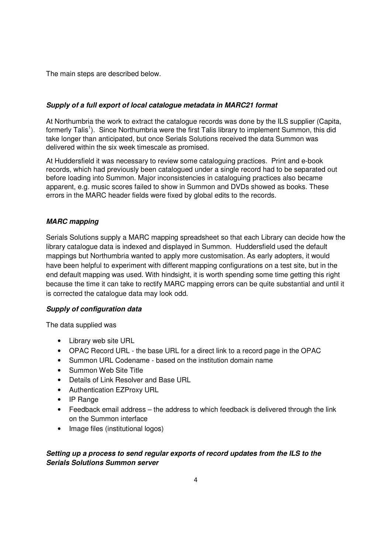The main steps are described below.

## **Supply of a full export of local catalogue metadata in MARC21 format**

At Northumbria the work to extract the catalogue records was done by the ILS supplier (Capita, formerly Talis<sup>1</sup>). Since Northumbria were the first Talis library to implement Summon, this did take longer than anticipated, but once Serials Solutions received the data Summon was delivered within the six week timescale as promised.

At Huddersfield it was necessary to review some cataloguing practices. Print and e-book records, which had previously been catalogued under a single record had to be separated out before loading into Summon. Major inconsistencies in cataloguing practices also became apparent, e.g. music scores failed to show in Summon and DVDs showed as books. These errors in the MARC header fields were fixed by global edits to the records.

## **MARC mapping**

Serials Solutions supply a MARC mapping spreadsheet so that each Library can decide how the library catalogue data is indexed and displayed in Summon. Huddersfield used the default mappings but Northumbria wanted to apply more customisation. As early adopters, it would have been helpful to experiment with different mapping configurations on a test site, but in the end default mapping was used. With hindsight, it is worth spending some time getting this right because the time it can take to rectify MARC mapping errors can be quite substantial and until it is corrected the catalogue data may look odd.

## **Supply of configuration data**

The data supplied was

- Library web site URL
- OPAC Record URL the base URL for a direct link to a record page in the OPAC
- Summon URL Codename based on the institution domain name
- Summon Web Site Title
- Details of Link Resolver and Base URL
- Authentication EZProxy URL
- IP Range
- Feedback email address the address to which feedback is delivered through the link on the Summon interface
- Image files (institutional logos)

## **Setting up a process to send regular exports of record updates from the ILS to the Serials Solutions Summon server**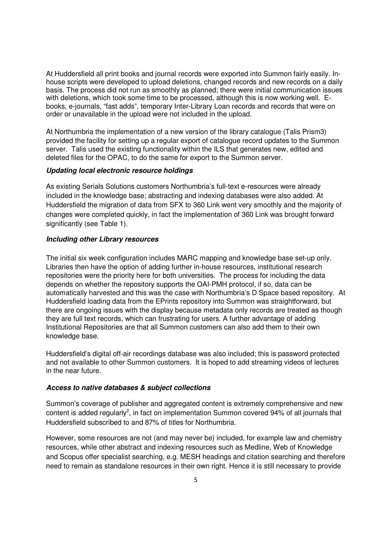At Huddersfield all print books and journal records were exported into Summon fairly easily. Inhouse scripts were developed to upload deletions, changed records and new records on a daily basis. The process did not run as smoothly as planned; there were initial communication issues with deletions, which took some time to be processed, although this is now working well. Ebooks, e-journals, "fast adds", temporary Inter-Library Loan records and records that were on order or unavailable in the upload were not included in the upload.

At Northumbria the implementation of a new version of the library catalogue (Talis Prism3) provided the facility for setting up a regular export of catalogue record updates to the Summon server. Talis used the existing functionality within the ILS that generates new, edited and deleted files for the OPAC, to do the same for export to the Summon server.

#### **Updating local electronic resource holdings**

As existing Serials Solutions customers Northumbria's full-text e-resources were already included in the knowledge base; abstracting and indexing databases were also added. At Huddersfield the migration of data from SFX to 360 Link went very smoothly and the majority of changes were completed quickly, in fact the implementation of 360 Link was brought forward significantly (see Table 1).

#### **Including other Library resources**

The initial six week configuration includes MARC mapping and knowledge base set-up only. Libraries then have the option of adding further in-house resources, institutional research repositories were the priority here for both universities. The process for including the data depends on whether the repository supports the OAI-PMH protocol, if so, data can be automatically harvested and this was the case with Northumbria's D Space based repository. At Huddersfield loading data from the EPrints repository into Summon was straightforward, but there are ongoing issues with the display because metadata only records are treated as though they are full text records, which can frustrating for users. A further advantage of adding Institutional Repositories are that all Summon customers can also add them to their own knowledge base.

Huddersfield's digital off-air recordings database was also included; this is password protected and not available to other Summon customers. It is hoped to add streaming videos of lectures in the near future.

#### **Access to native databases & subject collections**

Summon's coverage of publisher and aggregated content is extremely comprehensive and new content is added regularly<sup>2</sup>, in fact on implementation Summon covered 94% of all journals that Huddersfield subscribed to and 87% of titles for Northumbria.

However, some resources are not (and may never be) included, for example law and chemistry resources, while other abstract and indexing resources such as Medline, Web of Knowledge and Scopus offer specialist searching, e.g. MESH headings and citation searching and therefore need to remain as standalone resources in their own right. Hence it is still necessary to provide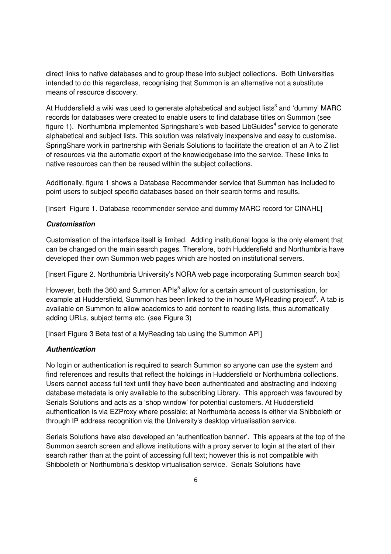direct links to native databases and to group these into subject collections. Both Universities intended to do this regardless, recognising that Summon is an alternative not a substitute means of resource discovery.

At Huddersfield a wiki was used to generate alphabetical and subject lists<sup>3</sup> and 'dummy' MARC records for databases were created to enable users to find database titles on Summon (see figure 1). Northumbria implemented Springshare's web-based LibGuides<sup>4</sup> service to generate alphabetical and subject lists. This solution was relatively inexpensive and easy to customise. SpringShare work in partnership with Serials Solutions to facilitate the creation of an A to Z list of resources via the automatic export of the knowledgebase into the service. These links to native resources can then be reused within the subject collections.

Additionally, figure 1 shows a Database Recommender service that Summon has included to point users to subject specific databases based on their search terms and results.

[Insert Figure 1. Database recommender service and dummy MARC record for CINAHL]

#### **Customisation**

Customisation of the interface itself is limited. Adding institutional logos is the only element that can be changed on the main search pages. Therefore, both Huddersfield and Northumbria have developed their own Summon web pages which are hosted on institutional servers.

[Insert Figure 2. Northumbria University's NORA web page incorporating Summon search box]

However, both the 360 and Summon APIs<sup>5</sup> allow for a certain amount of customisation, for example at Huddersfield, Summon has been linked to the in house MyReading project<sup>6</sup>. A tab is available on Summon to allow academics to add content to reading lists, thus automatically adding URLs, subject terms etc. (see Figure 3)

[Insert Figure 3 Beta test of a MyReading tab using the Summon API]

## **Authentication**

No login or authentication is required to search Summon so anyone can use the system and find references and results that reflect the holdings in Huddersfield or Northumbria collections. Users cannot access full text until they have been authenticated and abstracting and indexing database metadata is only available to the subscribing Library. This approach was favoured by Serials Solutions and acts as a 'shop window' for potential customers. At Huddersfield authentication is via EZProxy where possible; at Northumbria access is either via Shibboleth or through IP address recognition via the University's desktop virtualisation service.

Serials Solutions have also developed an 'authentication banner'. This appears at the top of the Summon search screen and allows institutions with a proxy server to login at the start of their search rather than at the point of accessing full text; however this is not compatible with Shibboleth or Northumbria's desktop virtualisation service. Serials Solutions have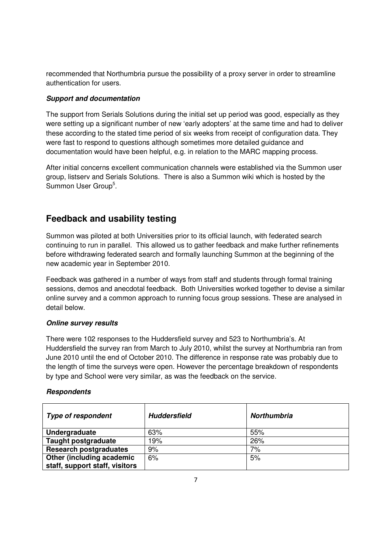recommended that Northumbria pursue the possibility of a proxy server in order to streamline authentication for users.

## **Support and documentation**

The support from Serials Solutions during the initial set up period was good, especially as they were setting up a significant number of new 'early adopters' at the same time and had to deliver these according to the stated time period of six weeks from receipt of configuration data. They were fast to respond to questions although sometimes more detailed guidance and documentation would have been helpful, e.g. in relation to the MARC mapping process.

After initial concerns excellent communication channels were established via the Summon user group, listserv and Serials Solutions. There is also a Summon wiki which is hosted by the Summon User Group<sup>5</sup>.

# **Feedback and usability testing**

Summon was piloted at both Universities prior to its official launch, with federated search continuing to run in parallel. This allowed us to gather feedback and make further refinements before withdrawing federated search and formally launching Summon at the beginning of the new academic year in September 2010.

Feedback was gathered in a number of ways from staff and students through formal training sessions, demos and anecdotal feedback.Both Universities worked together to devise a similar online survey and a common approach to running focus group sessions. These are analysed in detail below.

## **Online survey results**

There were 102 responses to the Huddersfield survey and 523 to Northumbria's. At Huddersfield the survey ran from March to July 2010, whilst the survey at Northumbria ran from June 2010 until the end of October 2010. The difference in response rate was probably due to the length of time the surveys were open. However the percentage breakdown of respondents by type and School were very similar, as was the feedback on the service.

## **Respondents**

| <b>Type of respondent</b>                                   | <b>Huddersfield</b> | <b>Northumbria</b> |
|-------------------------------------------------------------|---------------------|--------------------|
| Undergraduate                                               | 63%                 | 55%                |
| <b>Taught postgraduate</b>                                  | 19%                 | 26%                |
| <b>Research postgraduates</b>                               | 9%                  | 7%                 |
| Other (including academic<br>staff, support staff, visitors | 6%                  | 5%                 |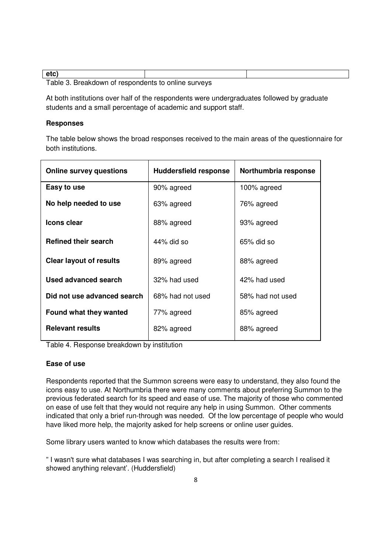| etc                                                            |  |
|----------------------------------------------------------------|--|
| Toblo 2<br><b>Programm</b> of recognolectors in online curvays |  |

Table 3. Breakdown of respondents to online surveys

At both institutions over half of the respondents were undergraduates followed by graduate students and a small percentage of academic and support staff.

#### **Responses**

The table below shows the broad responses received to the main areas of the questionnaire for both institutions.

| <b>Online survey questions</b> | <b>Huddersfield response</b> | Northumbria response |
|--------------------------------|------------------------------|----------------------|
| Easy to use                    | 90% agreed                   | 100% agreed          |
| No help needed to use          | 63% agreed                   | 76% agreed           |
| <b>Icons clear</b>             | 88% agreed                   | 93% agreed           |
| <b>Refined their search</b>    | $44\%$ did so                | $65\%$ did so        |
| <b>Clear layout of results</b> | 89% agreed                   | 88% agreed           |
| Used advanced search           | 32% had used                 | 42% had used         |
| Did not use advanced search    | 68% had not used             | 58% had not used     |
| Found what they wanted         | 77% agreed                   | 85% agreed           |
| <b>Relevant results</b>        | 82% agreed                   | 88% agreed           |

Table 4. Response breakdown by institution

#### **Ease of use**

Respondents reported that the Summon screens were easy to understand, they also found the icons easy to use. At Northumbria there were many comments about preferring Summon to the previous federated search for its speed and ease of use. The majority of those who commented on ease of use felt that they would not require any help in using Summon. Other comments indicated that only a brief run-through was needed. Of the low percentage of people who would have liked more help, the majority asked for help screens or online user guides.

Some library users wanted to know which databases the results were from:

" I wasn't sure what databases I was searching in, but after completing a search I realised it showed anything relevant'. (Huddersfield)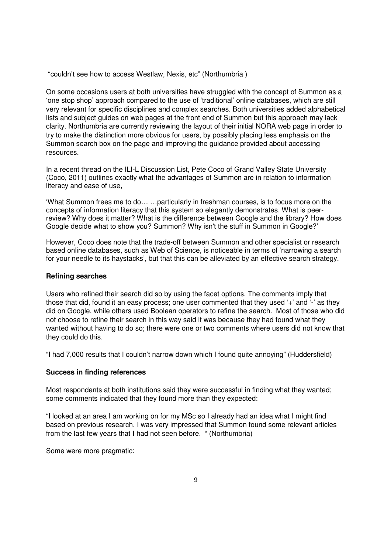"couldn't see how to access Westlaw, Nexis, etc" (Northumbria )

On some occasions users at both universities have struggled with the concept of Summon as a 'one stop shop' approach compared to the use of 'traditional' online databases, which are still very relevant for specific disciplines and complex searches. Both universities added alphabetical lists and subject guides on web pages at the front end of Summon but this approach may lack clarity. Northumbria are currently reviewing the layout of their initial NORA web page in order to try to make the distinction more obvious for users, by possibly placing less emphasis on the Summon search box on the page and improving the guidance provided about accessing resources.

In a recent thread on the ILI-L Discussion List, Pete Coco of Grand Valley State University (Coco, 2011) outlines exactly what the advantages of Summon are in relation to information literacy and ease of use,

'What Summon frees me to do… …particularly in freshman courses, is to focus more on the concepts of information literacy that this system so elegantly demonstrates. What is peerreview? Why does it matter? What is the difference between Google and the library? How does Google decide what to show you? Summon? Why isn't the stuff in Summon in Google?'

However, Coco does note that the trade-off between Summon and other specialist or research based online databases, such as Web of Science, is noticeable in terms of 'narrowing a search for your needle to its haystacks', but that this can be alleviated by an effective search strategy.

#### **Refining searches**

Users who refined their search did so by using the facet options. The comments imply that those that did, found it an easy process; one user commented that they used '+' and '-' as they did on Google, while others used Boolean operators to refine the search. Most of those who did not choose to refine their search in this way said it was because they had found what they wanted without having to do so; there were one or two comments where users did not know that they could do this.

"I had 7,000 results that I couldn't narrow down which I found quite annoying" (Huddersfield)

#### **Success in finding references**

Most respondents at both institutions said they were successful in finding what they wanted; some comments indicated that they found more than they expected:

"I looked at an area I am working on for my MSc so I already had an idea what I might find based on previous research. I was very impressed that Summon found some relevant articles from the last few years that I had not seen before. " (Northumbria)

Some were more pragmatic: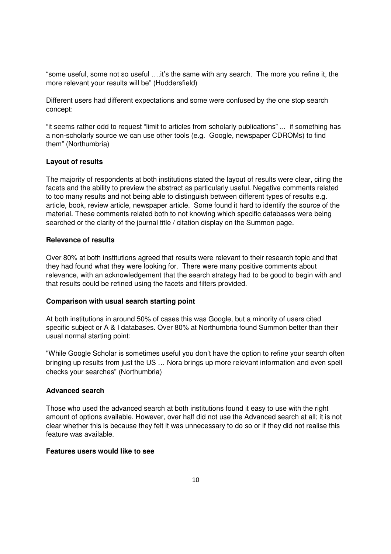"some useful, some not so useful ….it's the same with any search. The more you refine it, the more relevant your results will be" (Huddersfield)

Different users had different expectations and some were confused by the one stop search concept:

"it seems rather odd to request "limit to articles from scholarly publications" ... if something has a non-scholarly source we can use other tools (e.g. Google, newspaper CDROMs) to find them" (Northumbria)

#### **Layout of results**

The majority of respondents at both institutions stated the layout of results were clear, citing the facets and the ability to preview the abstract as particularly useful. Negative comments related to too many results and not being able to distinguish between different types of results e.g. article, book, review article, newspaper article. Some found it hard to identify the source of the material. These comments related both to not knowing which specific databases were being searched or the clarity of the journal title / citation display on the Summon page.

#### **Relevance of results**

Over 80% at both institutions agreed that results were relevant to their research topic and that they had found what they were looking for. There were many positive comments about relevance, with an acknowledgement that the search strategy had to be good to begin with and that results could be refined using the facets and filters provided.

#### **Comparison with usual search starting point**

At both institutions in around 50% of cases this was Google, but a minority of users cited specific subject or A & I databases. Over 80% at Northumbria found Summon better than their usual normal starting point:

"While Google Scholar is sometimes useful you don't have the option to refine your search often bringing up results from just the US … Nora brings up more relevant information and even spell checks your searches" (Northumbria)

#### **Advanced search**

Those who used the advanced search at both institutions found it easy to use with the right amount of options available. However, over half did not use the Advanced search at all; it is not clear whether this is because they felt it was unnecessary to do so or if they did not realise this feature was available.

#### **Features users would like to see**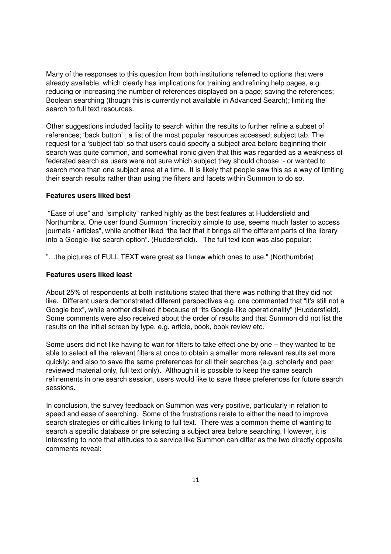Many of the responses to this question from both institutions referred to options that were already available, which clearly has implications for training and refining help pages, e.g. reducing or increasing the number of references displayed on a page; saving the references; Boolean searching (though this is currently not available in Advanced Search); limiting the search to full text resources.

Other suggestions included facility to search within the results to further refine a subset of references; 'back button' ; a list of the most popular resources accessed; subject tab. The request for a 'subject tab' so that users could specify a subject area before beginning their search was quite common, and somewhat ironic given that this was regarded as a weakness of federated search as users were not sure which subject they should choose - or wanted to search more than one subject area at a time. It is likely that people saw this as a way of limiting their search results rather than using the filters and facets within Summon to do so.

#### **Features users liked best**

 "Ease of use" and "simplicity" ranked highly as the best features at Huddersfield and Northumbria. One user found Summon "incredibly simple to use, seems much faster to access journals / articles", while another liked "the fact that it brings all the different parts of the library into a Google-like search option". (Huddersfield). The full text icon was also popular:

"…the pictures of FULL TEXT were great as I knew which ones to use." (Northumbria)

#### **Features users liked least**

About 25% of respondents at both institutions stated that there was nothing that they did not like. Different users demonstrated different perspectives e.g. one commented that "it's still not a Google box", while another disliked it because of "its Google-like operationality" (Huddersfield). Some comments were also received about the order of results and that Summon did not list the results on the initial screen by type, e.g. article, book, book review etc.

Some users did not like having to wait for filters to take effect one by one – they wanted to be able to select all the relevant filters at once to obtain a smaller more relevant results set more quickly; and also to save the same preferences for all their searches (e.g. scholarly and peer reviewed material only, full text only). Although it is possible to keep the same search refinements in one search session, users would like to save these preferences for future search sessions.

In conclusion, the survey feedback on Summon was very positive, particularly in relation to speed and ease of searching. Some of the frustrations relate to either the need to improve search strategies or difficulties linking to full text. There was a common theme of wanting to search a specific database or pre selecting a subject area before searching. However, it is interesting to note that attitudes to a service like Summon can differ as the two directly opposite comments reveal: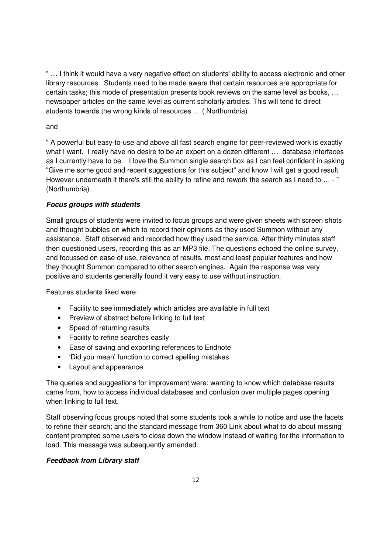" … I think it would have a very negative effect on students' ability to access electronic and other library resources. Students need to be made aware that certain resources are appropriate for certain tasks; this mode of presentation presents book reviews on the same level as books, … newspaper articles on the same level as current scholarly articles. This will tend to direct students towards the wrong kinds of resources … ( Northumbria)

## and

" A powerful but easy-to-use and above all fast search engine for peer-reviewed work is exactly what I want. I really have no desire to be an expert on a dozen different … database interfaces as I currently have to be. I love the Summon single search box as I can feel confident in asking "Give me some good and recent suggestions for this subject" and know I will get a good result. However underneath it there's still the ability to refine and rework the search as I need to ... - " (Northumbria)

## **Focus groups with students**

Small groups of students were invited to focus groups and were given sheets with screen shots and thought bubbles on which to record their opinions as they used Summon without any assistance. Staff observed and recorded how they used the service. After thirty minutes staff then questioned users, recording this as an MP3 file. The questions echoed the online survey, and focussed on ease of use, relevance of results, most and least popular features and how they thought Summon compared to other search engines. Again the response was very positive and students generally found it very easy to use without instruction.

Features students liked were:

- Facility to see immediately which articles are available in full text
- Preview of abstract before linking to full text
- Speed of returning results
- Facility to refine searches easily
- Ease of saving and exporting references to Endnote
- 'Did you mean' function to correct spelling mistakes
- Layout and appearance

The queries and suggestions for improvement were: wanting to know which database results came from, how to access individual databases and confusion over multiple pages opening when linking to full text.

Staff observing focus groups noted that some students took a while to notice and use the facets to refine their search; and the standard message from 360 Link about what to do about missing content prompted some users to close down the window instead of waiting for the information to load. This message was subsequently amended.

## **Feedback from Library staff**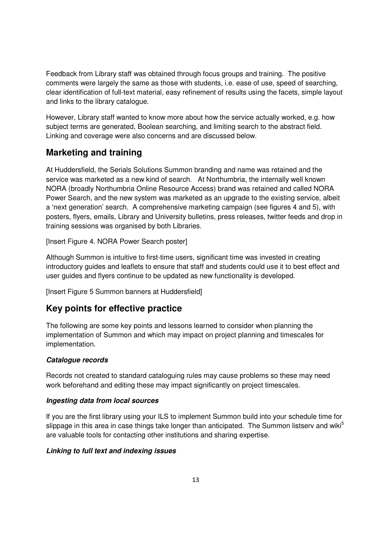Feedback from Library staff was obtained through focus groups and training. The positive comments were largely the same as those with students, i.e. ease of use, speed of searching, clear identification of full-text material, easy refinement of results using the facets, simple layout and links to the library catalogue.

However, Library staff wanted to know more about how the service actually worked, e.g. how subject terms are generated, Boolean searching, and limiting search to the abstract field. Linking and coverage were also concerns and are discussed below.

# **Marketing and training**

At Huddersfield, the Serials Solutions Summon branding and name was retained and the service was marketed as a new kind of search. At Northumbria, the internally well known NORA (broadly Northumbria Online Resource Access) brand was retained and called NORA Power Search, and the new system was marketed as an upgrade to the existing service, albeit a 'next generation' search. A comprehensive marketing campaign (see figures 4 and 5), with posters, flyers, emails, Library and University bulletins, press releases, twitter feeds and drop in training sessions was organised by both Libraries.

[Insert Figure 4. NORA Power Search poster]

Although Summon is intuitive to first-time users, significant time was invested in creating introductory guides and leaflets to ensure that staff and students could use it to best effect and user guides and flyers continue to be updated as new functionality is developed.

[Insert Figure 5 Summon banners at Huddersfield]

# **Key points for effective practice**

The following are some key points and lessons learned to consider when planning the implementation of Summon and which may impact on project planning and timescales for implementation.

## **Catalogue records**

Records not created to standard cataloguing rules may cause problems so these may need work beforehand and editing these may impact significantly on project timescales.

## **Ingesting data from local sources**

If you are the first library using your ILS to implement Summon build into your schedule time for slippage in this area in case things take longer than anticipated. The Summon listserv and wiki<sup>5</sup> are valuable tools for contacting other institutions and sharing expertise.

## **Linking to full text and indexing issues**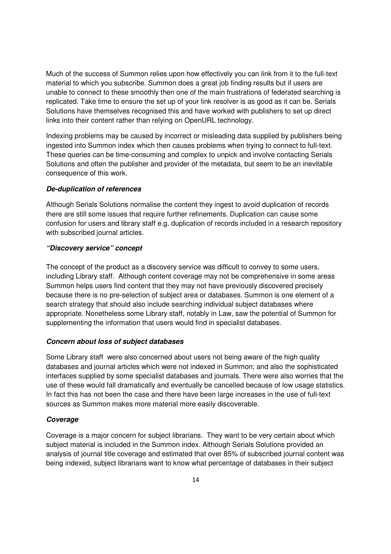Much of the success of Summon relies upon how effectively you can link from it to the full-text material to which you subscribe. Summon does a great job finding results but if users are unable to connect to these smoothly then one of the main frustrations of federated searching is replicated. Take time to ensure the set up of your link resolver is as good as it can be. Serials Solutions have themselves recognised this and have worked with publishers to set up direct links into their content rather than relying on OpenURL technology.

Indexing problems may be caused by incorrect or misleading data supplied by publishers being ingested into Summon index which then causes problems when trying to connect to full-text. These queries can be time-consuming and complex to unpick and involve contacting Serials Solutions and often the publisher and provider of the metadata, but seem to be an inevitable consequence of this work.

#### **De-duplication of references**

Although Serials Solutions normalise the content they ingest to avoid duplication of records there are still some issues that require further refinements. Duplication can cause some confusion for users and library staff e.g. duplication of records included in a research repository with subscribed journal articles.

#### **"Discovery service" concept**

The concept of the product as a discovery service was difficult to convey to some users, including Library staff. Although content coverage may not be comprehensive in some areas Summon helps users find content that they may not have previously discovered precisely because there is no pre-selection of subject area or databases. Summon is one element of a search strategy that should also include searching individual subject databases where appropriate. Nonetheless some Library staff, notably in Law, saw the potential of Summon for supplementing the information that users would find in specialist databases.

## **Concern about loss of subject databases**

Some Library staff were also concerned about users not being aware of the high quality databases and journal articles which were not indexed in Summon; and also the sophisticated interfaces supplied by some specialist databases and journals. There were also worries that the use of these would fall dramatically and eventually be cancelled because of low usage statistics. In fact this has not been the case and there have been large increases in the use of full-text sources as Summon makes more material more easily discoverable.

#### **Coverage**

Coverage is a major concern for subject librarians. They want to be very certain about which subject material is included in the Summon index. Although Serials Solutions provided an analysis of journal title coverage and estimated that over 85% of subscribed journal content was being indexed, subject librarians want to know what percentage of databases in their subject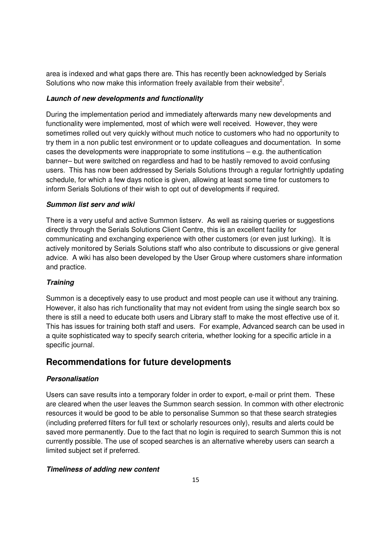area is indexed and what gaps there are. This has recently been acknowledged by Serials Solutions who now make this information freely available from their website<sup>2</sup>.

## **Launch of new developments and functionality**

During the implementation period and immediately afterwards many new developments and functionality were implemented, most of which were well received. However, they were sometimes rolled out very quickly without much notice to customers who had no opportunity to try them in a non public test environment or to update colleagues and documentation. In some cases the developments were inappropriate to some institutions – e.g. the authentication banner– but were switched on regardless and had to be hastily removed to avoid confusing users. This has now been addressed by Serials Solutions through a regular fortnightly updating schedule, for which a few days notice is given, allowing at least some time for customers to inform Serials Solutions of their wish to opt out of developments if required.

## **Summon list serv and wiki**

There is a very useful and active Summon listserv. As well as raising queries or suggestions directly through the Serials Solutions Client Centre, this is an excellent facility for communicating and exchanging experience with other customers (or even just lurking). It is actively monitored by Serials Solutions staff who also contribute to discussions or give general advice. A wiki has also been developed by the User Group where customers share information and practice.

## **Training**

Summon is a deceptively easy to use product and most people can use it without any training. However, it also has rich functionality that may not evident from using the single search box so there is still a need to educate both users and Library staff to make the most effective use of it. This has issues for training both staff and users. For example, Advanced search can be used in a quite sophisticated way to specify search criteria, whether looking for a specific article in a specific journal.

## **Recommendations for future developments**

## **Personalisation**

Users can save results into a temporary folder in order to export, e-mail or print them. These are cleared when the user leaves the Summon search session. In common with other electronic resources it would be good to be able to personalise Summon so that these search strategies (including preferred filters for full text or scholarly resources only), results and alerts could be saved more permanently. Due to the fact that no login is required to search Summon this is not currently possible. The use of scoped searches is an alternative whereby users can search a limited subject set if preferred.

## **Timeliness of adding new content**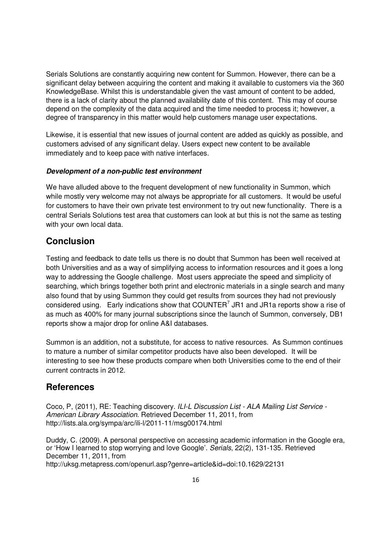Serials Solutions are constantly acquiring new content for Summon. However, there can be a significant delay between acquiring the content and making it available to customers via the 360 KnowledgeBase. Whilst this is understandable given the vast amount of content to be added, there is a lack of clarity about the planned availability date of this content. This may of course depend on the complexity of the data acquired and the time needed to process it; however, a degree of transparency in this matter would help customers manage user expectations.

Likewise, it is essential that new issues of journal content are added as quickly as possible, and customers advised of any significant delay. Users expect new content to be available immediately and to keep pace with native interfaces.

#### **Development of a non-public test environment**

We have alluded above to the frequent development of new functionality in Summon, which while mostly very welcome may not always be appropriate for all customers. It would be useful for customers to have their own private test environment to try out new functionality. There is a central Serials Solutions test area that customers can look at but this is not the same as testing with your own local data.

## **Conclusion**

Testing and feedback to date tells us there is no doubt that Summon has been well received at both Universities and as a way of simplifying access to information resources and it goes a long way to addressing the Google challenge. Most users appreciate the speed and simplicity of searching, which brings together both print and electronic materials in a single search and many also found that by using Summon they could get results from sources they had not previously considered using. Early indications show that COUNTER $^7$  JR1 and JR1a reports show a rise of as much as 400% for many journal subscriptions since the launch of Summon, conversely, DB1 reports show a major drop for online A&I databases.

Summon is an addition, not a substitute, for access to native resources. As Summon continues to mature a number of similar competitor products have also been developed. It will be interesting to see how these products compare when both Universities come to the end of their current contracts in 2012.

## **References**

Coco, P, (2011), RE: Teaching discovery. ILI-L Discussion List - ALA Mailing List Service - American Library Association. Retrieved December 11, 2011, from http://lists.ala.org/sympa/arc/ili-l/2011-11/msg00174.html

Duddy, C. (2009). A personal perspective on accessing academic information in the Google era, or 'How I learned to stop worrying and love Google'. Serials, 22(2), 131-135. Retrieved December 11, 2011, from http://uksg.metapress.com/openurl.asp?genre=article&id=doi:10.1629/22131